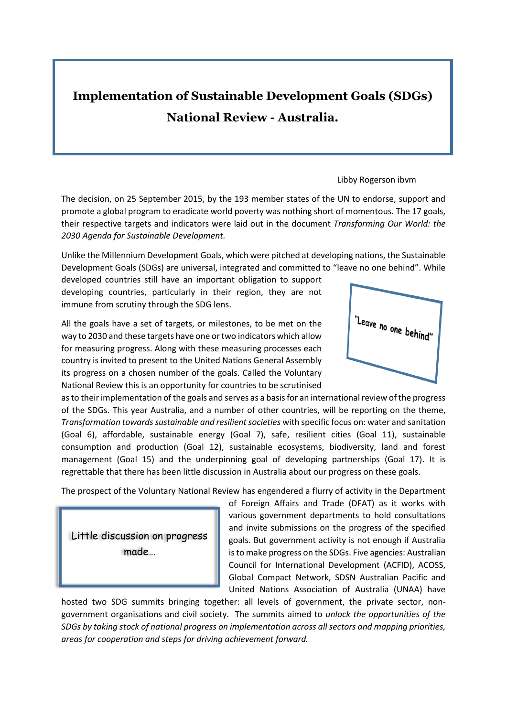## **Implementation of Sustainable Development Goals (SDGs) National Review - Australia.**

## Libby Rogerson ibvm

The decision, on 25 September 2015, by the 193 member states of the UN to endorse, support and promote a global program to eradicate world poverty was nothing short of momentous. The 17 goals, their respective targets and indicators were laid out in the document *Transforming Our World: the 2030 Agenda for Sustainable Development.*

Unlike the Millennium Development Goals, which were pitched at developing nations, the Sustainable Development Goals (SDGs) are universal, integrated and committed to "leave no one behind". While

developed countries still have an important obligation to support developing countries, particularly in their region, they are not immune from scrutiny through the SDG lens.

All the goals have a set of targets, or milestones, to be met on the way to 2030 and these targets have one or two indicators which allow for measuring progress. Along with these measuring processes each country is invited to present to the United Nations General Assembly its progress on a chosen number of the goals. Called the Voluntary National Review this is an opportunity for countries to be scrutinised "Leave no one behind"

as to their implementation of the goals and serves as a basis for an international review of the progress of the SDGs. This year Australia, and a number of other countries, will be reporting on the theme, *Transformation towards sustainable and resilient societies* with specific focus on: water and sanitation (Goal 6), affordable, sustainable energy (Goal 7), safe, resilient cities (Goal 11), sustainable consumption and production (Goal 12), sustainable ecosystems, biodiversity, land and forest management (Goal 15) and the underpinning goal of developing partnerships (Goal 17). It is regrettable that there has been little discussion in Australia about our progress on these goals.

The prospect of the Voluntary National Review has engendered a flurry of activity in the Department

Little discussion on progress made…

of Foreign Affairs and Trade (DFAT) as it works with various government departments to hold consultations and invite submissions on the progress of the specified goals. But government activity is not enough if Australia is to make progress on the SDGs. Five agencies: Australian Council for International Development (ACFID), ACOSS, Global Compact Network, SDSN Australian Pacific and United Nations Association of Australia (UNAA) have

hosted two SDG summits bringing together: all levels of government, the private sector, nongovernment organisations and civil society. The summits aimed to *unlock the opportunities of the SDGs by taking stock of national progress on implementation across all sectors and mapping priorities, areas for cooperation and steps for driving achievement forward.*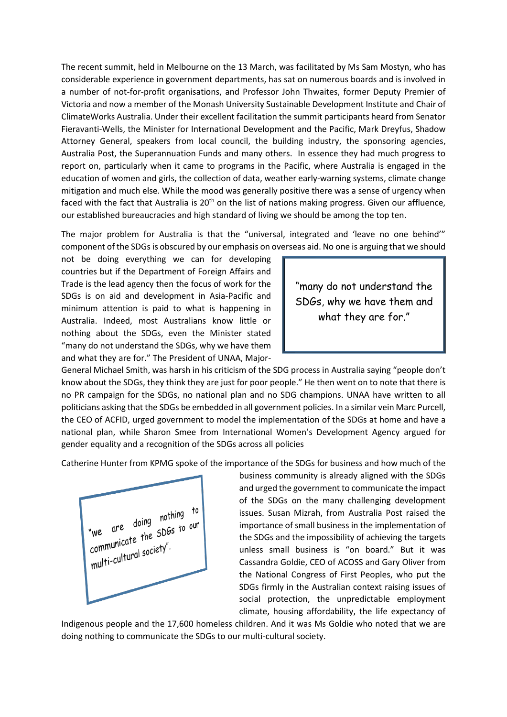The recent summit, held in Melbourne on the 13 March, was facilitated by Ms Sam Mostyn, who has considerable experience in government departments, has sat on numerous boards and is involved in a number of not-for-profit organisations, and Professor John Thwaites, former Deputy Premier of Victoria and now a member of the Monash University Sustainable Development Institute and Chair of ClimateWorks Australia. Under their excellent facilitation the summit participants heard from Senator Fieravanti-Wells, the Minister for International Development and the Pacific, Mark Dreyfus, Shadow Attorney General, speakers from local council, the building industry, the sponsoring agencies, Australia Post, the Superannuation Funds and many others. In essence they had much progress to report on, particularly when it came to programs in the Pacific, where Australia is engaged in the education of women and girls, the collection of data, weather early-warning systems, climate change mitigation and much else. While the mood was generally positive there was a sense of urgency when faced with the fact that Australia is 20<sup>th</sup> on the list of nations making progress. Given our affluence, our established bureaucracies and high standard of living we should be among the top ten.

The major problem for Australia is that the "universal, integrated and 'leave no one behind'" component of the SDGs is obscured by our emphasis on overseas aid. No one is arguing that we should

not be doing everything we can for developing countries but if the Department of Foreign Affairs and Trade is the lead agency then the focus of work for the SDGs is on aid and development in Asia-Pacific and minimum attention is paid to what is happening in Australia. Indeed, most Australians know little or nothing about the SDGs, even the Minister stated "many do not understand the SDGs, why we have them and what they are for." The President of UNAA, Major-



General Michael Smith, was harsh in his criticism of the SDG process in Australia saying "people don't know about the SDGs, they think they are just for poor people." He then went on to note that there is no PR campaign for the SDGs, no national plan and no SDG champions. UNAA have written to all politicians asking that the SDGs be embedded in all government policies. In a similar vein Marc Purcell, the CEO of ACFID, urged government to model the implementation of the SDGs at home and have a national plan, while Sharon Smee from International Women's Development Agency argued for gender equality and a recognition of the SDGs across all policies

Catherine Hunter from KPMG spoke of the importance of the SDGs for business and how much of the



business community is already aligned with the SDGs and urged the government to communicate the impact of the SDGs on the many challenging development issues. Susan Mizrah, from Australia Post raised the importance of small business in the implementation of the SDGs and the impossibility of achieving the targets unless small business is "on board." But it was Cassandra Goldie, CEO of ACOSS and Gary Oliver from the National Congress of First Peoples, who put the SDGs firmly in the Australian context raising issues of social protection, the unpredictable employment climate, housing affordability, the life expectancy of

Indigenous people and the 17,600 homeless children. And it was Ms Goldie who noted that we are doing nothing to communicate the SDGs to our multi-cultural society.